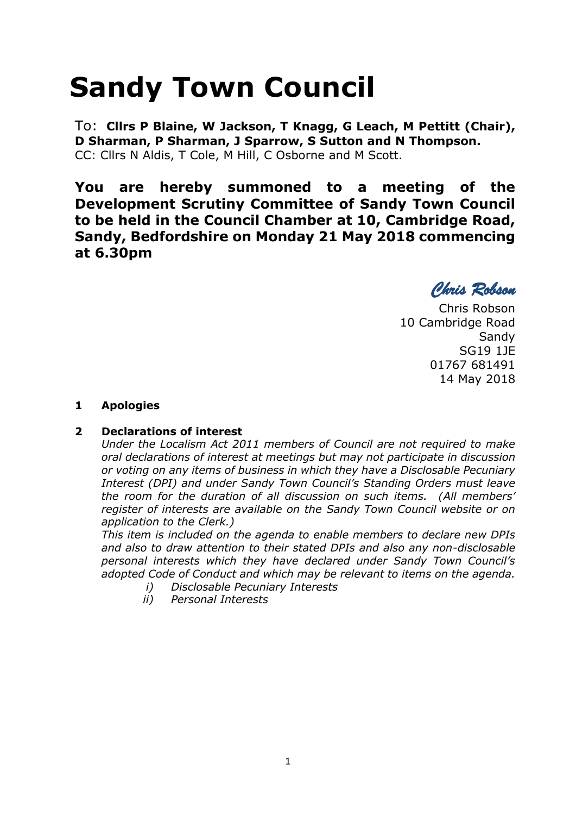# **Sandy Town Council**

To: **Cllrs P Blaine, W Jackson, T Knagg, G Leach, M Pettitt (Chair), D Sharman, P Sharman, J Sparrow, S Sutton and N Thompson.**  CC: Cllrs N Aldis, T Cole, M Hill, C Osborne and M Scott.

**You are hereby summoned to a meeting of the Development Scrutiny Committee of Sandy Town Council to be held in the Council Chamber at 10, Cambridge Road, Sandy, Bedfordshire on Monday 21 May 2018 commencing at 6.30pm**

*Chris Robson* 

Chris Robson 10 Cambridge Road **Sandy** SG19 1JE 01767 681491 14 May 2018

# **1 Apologies**

## **2 Declarations of interest**

*Under the Localism Act 2011 members of Council are not required to make oral declarations of interest at meetings but may not participate in discussion or voting on any items of business in which they have a Disclosable Pecuniary Interest (DPI) and under Sandy Town Council's Standing Orders must leave the room for the duration of all discussion on such items. (All members' register of interests are available on the Sandy Town Council website or on application to the Clerk.)* 

*This item is included on the agenda to enable members to declare new DPIs and also to draw attention to their stated DPIs and also any non-disclosable personal interests which they have declared under Sandy Town Council's adopted Code of Conduct and which may be relevant to items on the agenda.* 

- *i) Disclosable Pecuniary Interests*
- *ii) Personal Interests*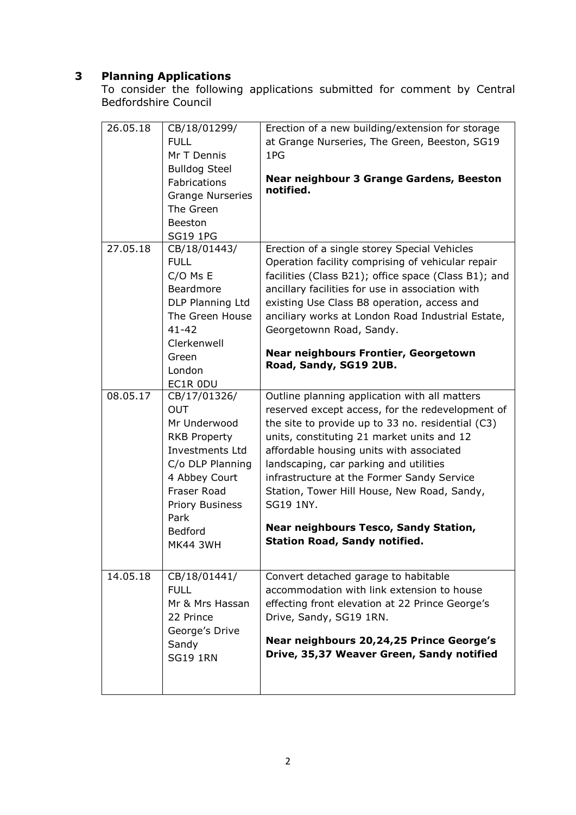# **3 Planning Applications**

To consider the following applications submitted for comment by Central Bedfordshire Council

| 26.05.18 | CB/18/01299/<br><b>FULL</b><br>Mr T Dennis<br><b>Bulldog Steel</b><br>Fabrications<br><b>Grange Nurseries</b><br>The Green<br>Beeston<br><b>SG19 1PG</b>                                                               | Erection of a new building/extension for storage<br>at Grange Nurseries, The Green, Beeston, SG19<br>1PG<br>Near neighbour 3 Grange Gardens, Beeston<br>notified.                                                                                                                                                                                                                                                                                                                            |
|----------|------------------------------------------------------------------------------------------------------------------------------------------------------------------------------------------------------------------------|----------------------------------------------------------------------------------------------------------------------------------------------------------------------------------------------------------------------------------------------------------------------------------------------------------------------------------------------------------------------------------------------------------------------------------------------------------------------------------------------|
| 27.05.18 | CB/18/01443/<br><b>FULL</b><br>$C/O$ Ms E<br>Beardmore<br>DLP Planning Ltd<br>The Green House<br>$41 - 42$<br>Clerkenwell                                                                                              | Erection of a single storey Special Vehicles<br>Operation facility comprising of vehicular repair<br>facilities (Class B21); office space (Class B1); and<br>ancillary facilities for use in association with<br>existing Use Class B8 operation, access and<br>anciliary works at London Road Industrial Estate,<br>Georgetownn Road, Sandy.<br><b>Near neighbours Frontier, Georgetown</b>                                                                                                 |
|          | Green<br>London<br>EC1R 0DU                                                                                                                                                                                            | Road, Sandy, SG19 2UB.                                                                                                                                                                                                                                                                                                                                                                                                                                                                       |
| 08.05.17 | CB/17/01326/<br><b>OUT</b><br>Mr Underwood<br><b>RKB Property</b><br><b>Investments Ltd</b><br>C/o DLP Planning<br>4 Abbey Court<br><b>Fraser Road</b><br>Priory Business<br>Park<br><b>Bedford</b><br><b>MK44 3WH</b> | Outline planning application with all matters<br>reserved except access, for the redevelopment of<br>the site to provide up to 33 no. residential (C3)<br>units, constituting 21 market units and 12<br>affordable housing units with associated<br>landscaping, car parking and utilities<br>infrastructure at the Former Sandy Service<br>Station, Tower Hill House, New Road, Sandy,<br>SG19 1NY.<br><b>Near neighbours Tesco, Sandy Station,</b><br><b>Station Road, Sandy notified.</b> |
| 14.05.18 | CB/18/01441/<br><b>FULL</b><br>Mr & Mrs Hassan<br>22 Prince<br>George's Drive<br>Sandy<br><b>SG19 1RN</b>                                                                                                              | Convert detached garage to habitable<br>accommodation with link extension to house<br>effecting front elevation at 22 Prince George's<br>Drive, Sandy, SG19 1RN.<br>Near neighbours 20,24,25 Prince George's<br>Drive, 35,37 Weaver Green, Sandy notified                                                                                                                                                                                                                                    |